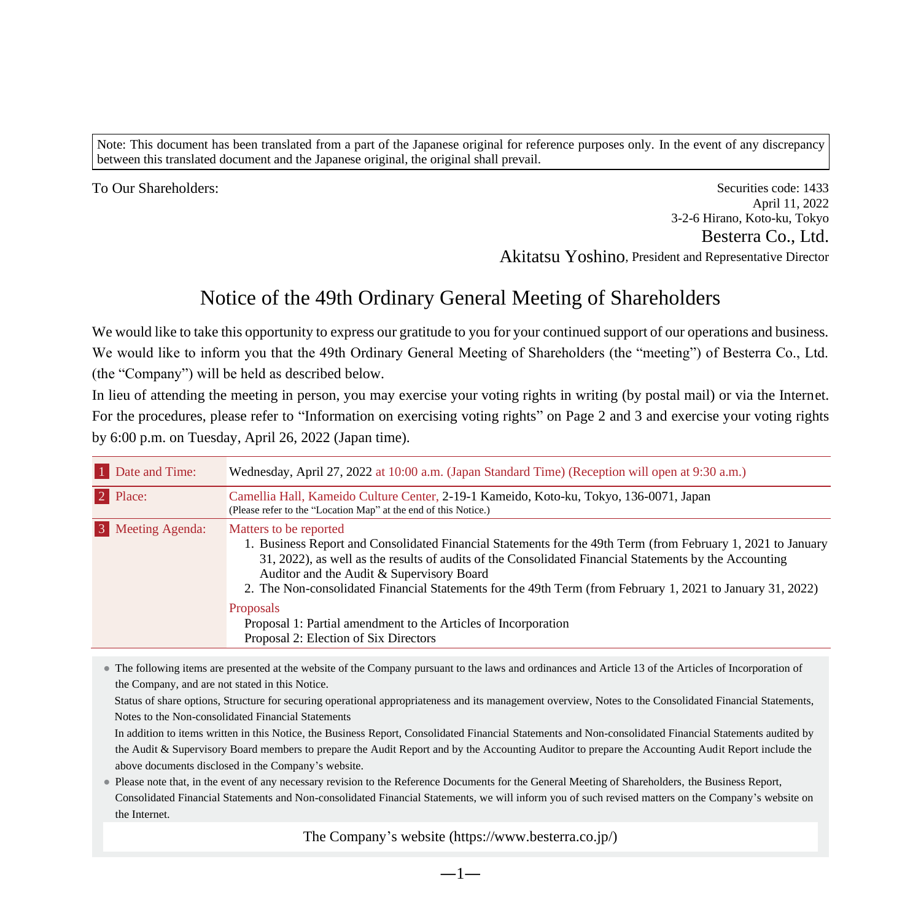Note: This document has been translated from a part of the Japanese original for reference purposes only. In the event of any discrepancy between this translated document and the Japanese original, the original shall prevail.

To Our Shareholders: Securities code: 1433 April 11, 2022 3-2-6 Hirano, Koto-ku, Tokyo Besterra Co., Ltd. Akitatsu Yoshino, President and Representative Director

# Notice of the 49th Ordinary General Meeting of Shareholders

We would like to take this opportunity to express our gratitude to you for your continued support of our operations and business. We would like to inform you that the 49th Ordinary General Meeting of Shareholders (the "meeting") of Besterra Co., Ltd. (the "Company") will be held as described below.

In lieu of attending the meeting in person, you may exercise your voting rights in writing (by postal mail) or via the Internet. For the procedures, please refer to "Information on exercising voting rights" on Page 2 and 3 and exercise your voting rights by 6:00 p.m. on Tuesday, April 26, 2022 (Japan time).

| 1 Date and Time:  | Wednesday, April 27, 2022 at 10:00 a.m. (Japan Standard Time) (Reception will open at 9:30 a.m.)                                                                                                                                                                                                                                                                                                                                                                                                  |
|-------------------|---------------------------------------------------------------------------------------------------------------------------------------------------------------------------------------------------------------------------------------------------------------------------------------------------------------------------------------------------------------------------------------------------------------------------------------------------------------------------------------------------|
| 2 Place:          | Camellia Hall, Kameido Culture Center, 2-19-1 Kameido, Koto-ku, Tokyo, 136-0071, Japan<br>(Please refer to the "Location Map" at the end of this Notice.)                                                                                                                                                                                                                                                                                                                                         |
| 3 Meeting Agenda: | Matters to be reported<br>1. Business Report and Consolidated Financial Statements for the 49th Term (from February 1, 2021 to January<br>31, 2022), as well as the results of audits of the Consolidated Financial Statements by the Accounting<br>Auditor and the Audit & Supervisory Board<br>2. The Non-consolidated Financial Statements for the 49th Term (from February 1, 2021 to January 31, 2022)<br><b>Proposals</b><br>Proposal 1: Partial amendment to the Articles of Incorporation |
|                   | Proposal 2: Election of Six Directors                                                                                                                                                                                                                                                                                                                                                                                                                                                             |

● The following items are presented at the website of the Company pursuant to the laws and ordinances and Article 13 of the Articles of Incorporation of the Company, and are not stated in this Notice.

Status of share options, Structure for securing operational appropriateness and its management overview, Notes to the Consolidated Financial Statements, Notes to the Non-consolidated Financial Statements

In addition to items written in this Notice, the Business Report, Consolidated Financial Statements and Non-consolidated Financial Statements audited by the Audit & Supervisory Board members to prepare the Audit Report and by the Accounting Auditor to prepare the Accounting Audit Report include the above documents disclosed in the Company's website.

● Please note that, in the event of any necessary revision to the Reference Documents for the General Meeting of Shareholders, the Business Report, Consolidated Financial Statements and Non-consolidated Financial Statements, we will inform you of such revised matters on the Company's website on the Internet.

The Company's website (https://www.besterra.co.jp/)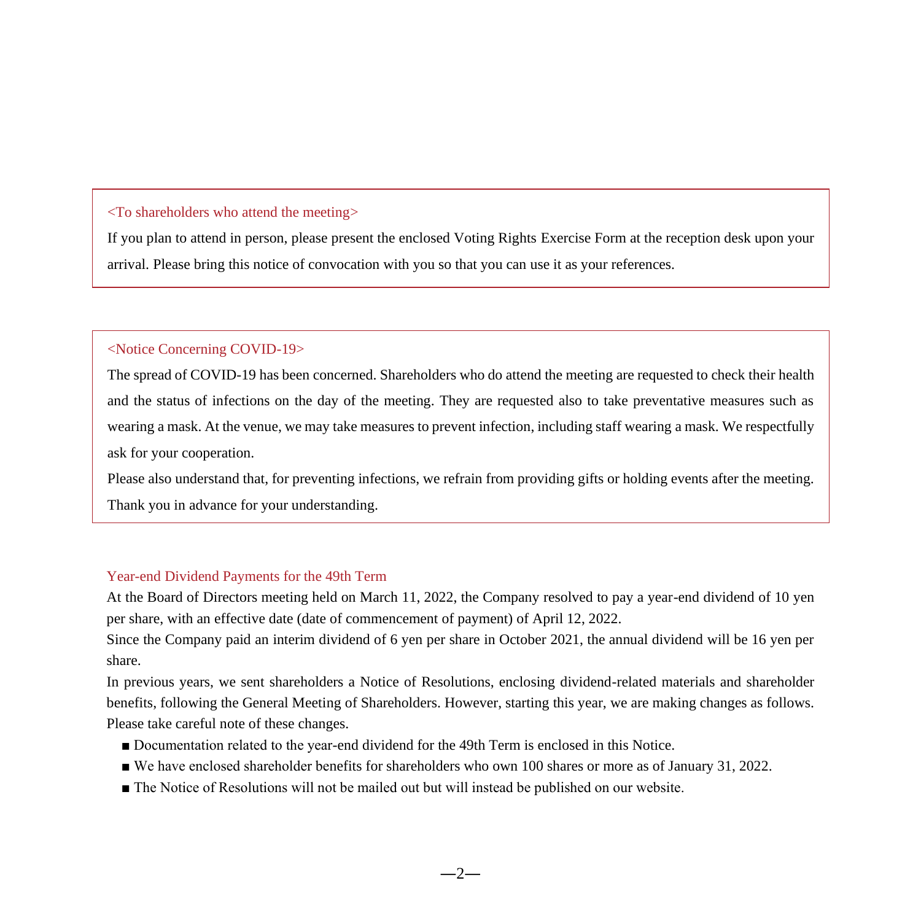### <To shareholders who attend the meeting>

If you plan to attend in person, please present the enclosed Voting Rights Exercise Form at the reception desk upon your arrival. Please bring this notice of convocation with you so that you can use it as your references.

### <Notice Concerning COVID-19>

The spread of COVID-19 has been concerned. Shareholders who do attend the meeting are requested to check their health and the status of infections on the day of the meeting. They are requested also to take preventative measures such as wearing a mask. At the venue, we may take measures to prevent infection, including staff wearing a mask. We respectfully ask for your cooperation.

Please also understand that, for preventing infections, we refrain from providing gifts or holding events after the meeting. Thank you in advance for your understanding.

#### Year-end Dividend Payments for the 49th Term

At the Board of Directors meeting held on March 11, 2022, the Company resolved to pay a year-end dividend of 10 yen per share, with an effective date (date of commencement of payment) of April 12, 2022.

Since the Company paid an interim dividend of 6 yen per share in October 2021, the annual dividend will be 16 yen per share.

In previous years, we sent shareholders a Notice of Resolutions, enclosing dividend-related materials and shareholder benefits, following the General Meeting of Shareholders. However, starting this year, we are making changes as follows. Please take careful note of these changes.

- Documentation related to the year-end dividend for the 49th Term is enclosed in this Notice.
- We have enclosed shareholder benefits for shareholders who own 100 shares or more as of January 31, 2022.
- The Notice of Resolutions will not be mailed out but will instead be published on our website.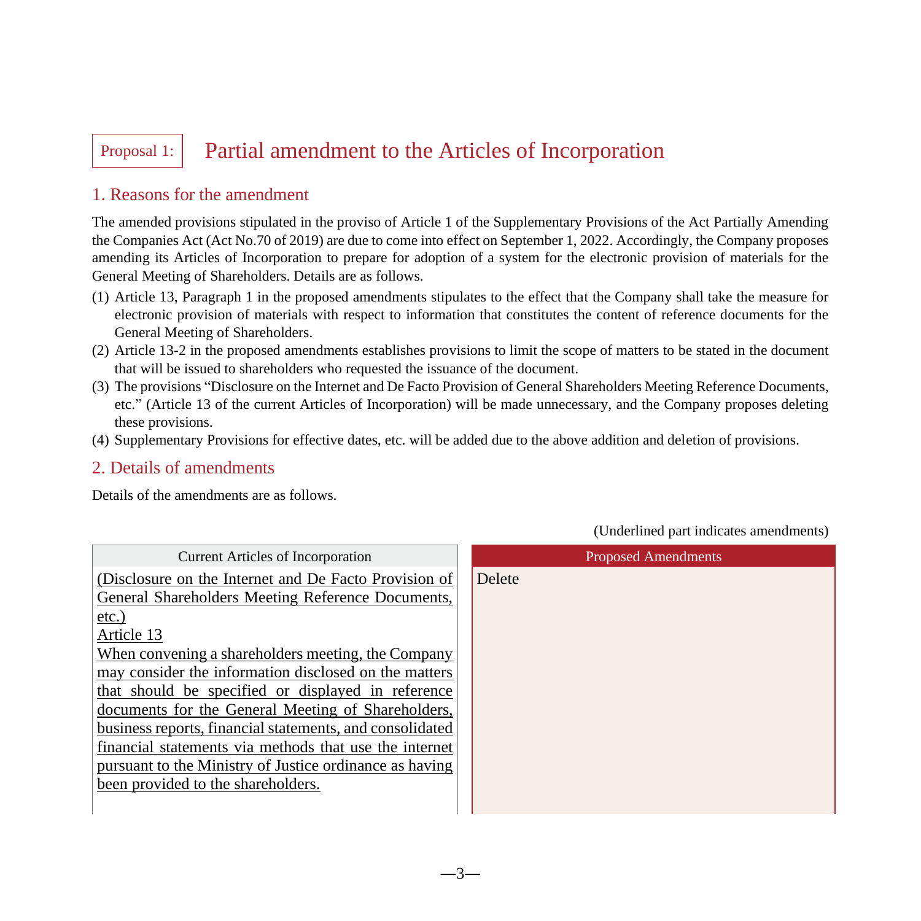# Proposal 1: Partial amendment to the Articles of Incorporation

## 1. Reasons for the amendment

The amended provisions stipulated in the proviso of Article 1 of the Supplementary Provisions of the Act Partially Amending the Companies Act (Act No.70 of 2019) are due to come into effect on September 1, 2022. Accordingly, the Company proposes amending its Articles of Incorporation to prepare for adoption of a system for the electronic provision of materials for the General Meeting of Shareholders. Details are as follows.

- (1) Article 13, Paragraph 1 in the proposed amendments stipulates to the effect that the Company shall take the measure for electronic provision of materials with respect to information that constitutes the content of reference documents for the General Meeting of Shareholders.
- (2) Article 13-2 in the proposed amendments establishes provisions to limit the scope of matters to be stated in the document that will be issued to shareholders who requested the issuance of the document.
- (3) The provisions "Disclosure on the Internet and De Facto Provision of General Shareholders Meeting Reference Documents, etc." (Article 13 of the current Articles of Incorporation) will be made unnecessary, and the Company proposes deleting these provisions.
- (4) Supplementary Provisions for effective dates, etc. will be added due to the above addition and deletion of provisions.

## 2. Details of amendments

Details of the amendments are as follows.

| <b>Current Articles of Incorporation</b>                 | <b>Proposed Amendments</b> |
|----------------------------------------------------------|----------------------------|
| (Disclosure on the Internet and De Facto Provision of    | <b>Delete</b>              |
| General Shareholders Meeting Reference Documents,        |                            |
| $etc.$ )                                                 |                            |
| Article 13                                               |                            |
| When convening a shareholders meeting, the Company       |                            |
| may consider the information disclosed on the matters    |                            |
| that should be specified or displayed in reference       |                            |
| documents for the General Meeting of Shareholders,       |                            |
| business reports, financial statements, and consolidated |                            |
| financial statements via methods that use the internet   |                            |
| pursuant to the Ministry of Justice ordinance as having  |                            |
| been provided to the shareholders.                       |                            |
|                                                          |                            |

(Underlined part indicates amendments)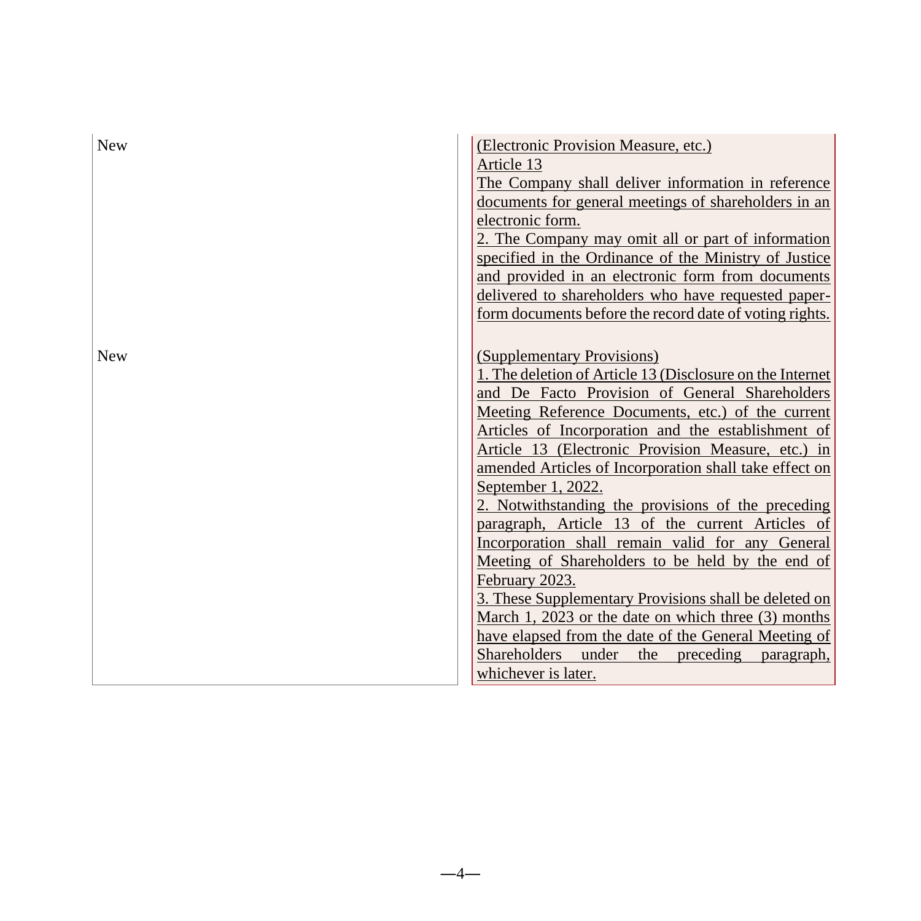| <b>New</b> | (Electronic Provision Measure, etc.)                                                                 |
|------------|------------------------------------------------------------------------------------------------------|
|            | Article 13                                                                                           |
|            | The Company shall deliver information in reference                                                   |
|            | documents for general meetings of shareholders in an                                                 |
|            | electronic form.                                                                                     |
|            | 2. The Company may omit all or part of information                                                   |
|            | specified in the Ordinance of the Ministry of Justice                                                |
|            | and provided in an electronic form from documents                                                    |
|            | delivered to shareholders who have requested paper-                                                  |
|            | form documents before the record date of voting rights.                                              |
|            |                                                                                                      |
| <b>New</b> | (Supplementary Provisions)                                                                           |
|            | 1. The deletion of Article 13 (Disclosure on the Internet                                            |
|            | and De Facto Provision of General Shareholders                                                       |
|            | Meeting Reference Documents, etc.) of the current                                                    |
|            | Articles of Incorporation and the establishment of                                                   |
|            | Article 13 (Electronic Provision Measure, etc.) in                                                   |
|            | amended Articles of Incorporation shall take effect on                                               |
|            | September 1, 2022.                                                                                   |
|            | 2. Notwithstanding the provisions of the preceding                                                   |
|            | paragraph, Article 13 of the current Articles of<br>Incorporation shall remain valid for any General |
|            | Meeting of Shareholders to be held by the end of                                                     |
|            | February 2023.                                                                                       |
|            | 3. These Supplementary Provisions shall be deleted on                                                |
|            | March 1, 2023 or the date on which three (3) months                                                  |
|            | have elapsed from the date of the General Meeting of                                                 |
|            | Shareholders under<br>preceding<br>the<br>paragraph,                                                 |
|            | whichever is later.                                                                                  |

 $-4-$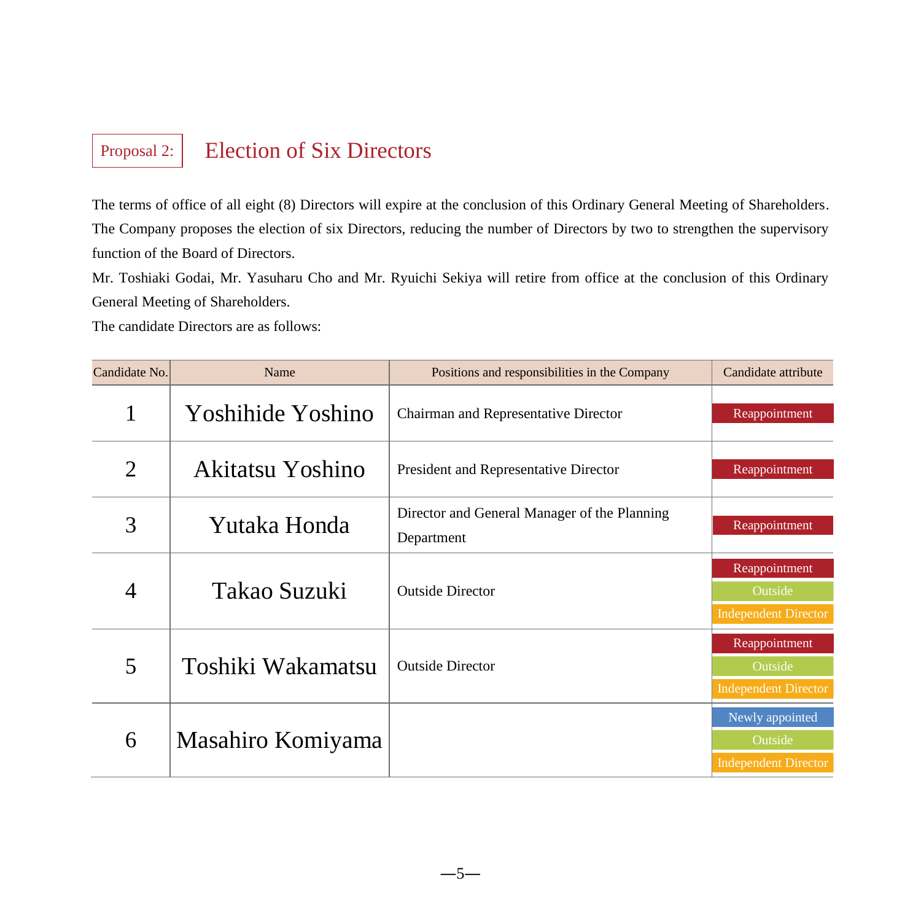# Proposal 2: Election of Six Directors

The terms of office of all eight (8) Directors will expire at the conclusion of this Ordinary General Meeting of Shareholders. The Company proposes the election of six Directors, reducing the number of Directors by two to strengthen the supervisory function of the Board of Directors.

Mr. Toshiaki Godai, Mr. Yasuharu Cho and Mr. Ryuichi Sekiya will retire from office at the conclusion of this Ordinary General Meeting of Shareholders.

The candidate Directors are as follows:

| Candidate No. | Name              | Positions and responsibilities in the Company              | Candidate attribute                                       |
|---------------|-------------------|------------------------------------------------------------|-----------------------------------------------------------|
|               | Yoshihide Yoshino | Chairman and Representative Director                       | Reappointment                                             |
| 2             | Akitatsu Yoshino  | President and Representative Director                      | Reappointment                                             |
| 3             | Yutaka Honda      | Director and General Manager of the Planning<br>Department | Reappointment                                             |
| 4             | Takao Suzuki      | <b>Outside Director</b>                                    | Reappointment<br>Outside<br><b>Independent Director</b>   |
| 5             | Toshiki Wakamatsu | <b>Outside Director</b>                                    | Reappointment<br>Outside<br><b>Independent Director</b>   |
| 6             | Masahiro Komiyama |                                                            | Newly appointed<br>Outside<br><b>Independent Director</b> |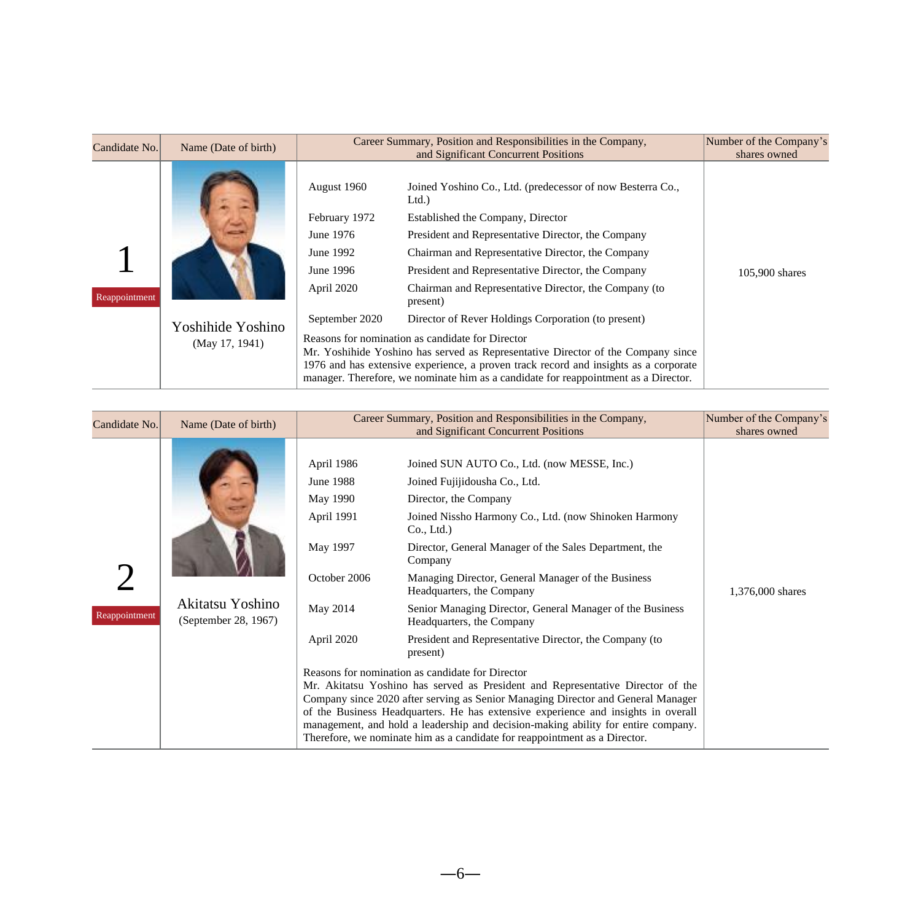| Candidate No. | Name (Date of birth)                |                                                                                   | Number of the Company's<br>Career Summary, Position and Responsibilities in the Company,<br>and Significant Concurrent Positions                                                                                                                                                                                                                                           |                |  |  |  |  |
|---------------|-------------------------------------|-----------------------------------------------------------------------------------|----------------------------------------------------------------------------------------------------------------------------------------------------------------------------------------------------------------------------------------------------------------------------------------------------------------------------------------------------------------------------|----------------|--|--|--|--|
| Reappointment |                                     | August 1960<br>February 1972<br>June 1976<br>June 1992<br>June 1996<br>April 2020 | Joined Yoshino Co., Ltd. (predecessor of now Besterra Co.,<br>Ltd.<br>Established the Company, Director<br>President and Representative Director, the Company<br>Chairman and Representative Director, the Company<br>President and Representative Director, the Company<br>Chairman and Representative Director, the Company (to<br>present)                              | 105,900 shares |  |  |  |  |
|               | Yoshihide Yoshino<br>(May 17, 1941) | September 2020                                                                    | Director of Rever Holdings Corporation (to present)<br>Reasons for nomination as candidate for Director<br>Mr. Yoshihide Yoshino has served as Representative Director of the Company since<br>1976 and has extensive experience, a proven track record and insights as a corporate<br>manager. Therefore, we nominate him as a candidate for reappointment as a Director. |                |  |  |  |  |

| Candidate No. | Name (Date of birth)                     |                                                                                                                | Career Summary, Position and Responsibilities in the Company,<br>and Significant Concurrent Positions                                                                                                                                                                                                                                                                                                                                                                                                                                                                                                                                                                                                                                                                                                                                                                                                                                                                                   | Number of the Company's<br>shares owned |
|---------------|------------------------------------------|----------------------------------------------------------------------------------------------------------------|-----------------------------------------------------------------------------------------------------------------------------------------------------------------------------------------------------------------------------------------------------------------------------------------------------------------------------------------------------------------------------------------------------------------------------------------------------------------------------------------------------------------------------------------------------------------------------------------------------------------------------------------------------------------------------------------------------------------------------------------------------------------------------------------------------------------------------------------------------------------------------------------------------------------------------------------------------------------------------------------|-----------------------------------------|
| Reappointment | Akitatsu Yoshino<br>(September 28, 1967) | April 1986<br><b>June 1988</b><br>May 1990<br>April 1991<br>May 1997<br>October 2006<br>May 2014<br>April 2020 | Joined SUN AUTO Co., Ltd. (now MESSE, Inc.)<br>Joined Fujijidousha Co., Ltd.<br>Director, the Company<br>Joined Nissho Harmony Co., Ltd. (now Shinoken Harmony<br>Co., Ltd.)<br>Director, General Manager of the Sales Department, the<br>Company<br>Managing Director, General Manager of the Business<br>Headquarters, the Company<br>Senior Managing Director, General Manager of the Business<br>Headquarters, the Company<br>President and Representative Director, the Company (to<br>present)<br>Reasons for nomination as candidate for Director<br>Mr. Akitatsu Yoshino has served as President and Representative Director of the<br>Company since 2020 after serving as Senior Managing Director and General Manager<br>of the Business Headquarters. He has extensive experience and insights in overall<br>management, and hold a leadership and decision-making ability for entire company.<br>Therefore, we nominate him as a candidate for reappointment as a Director. | 1,376,000 shares                        |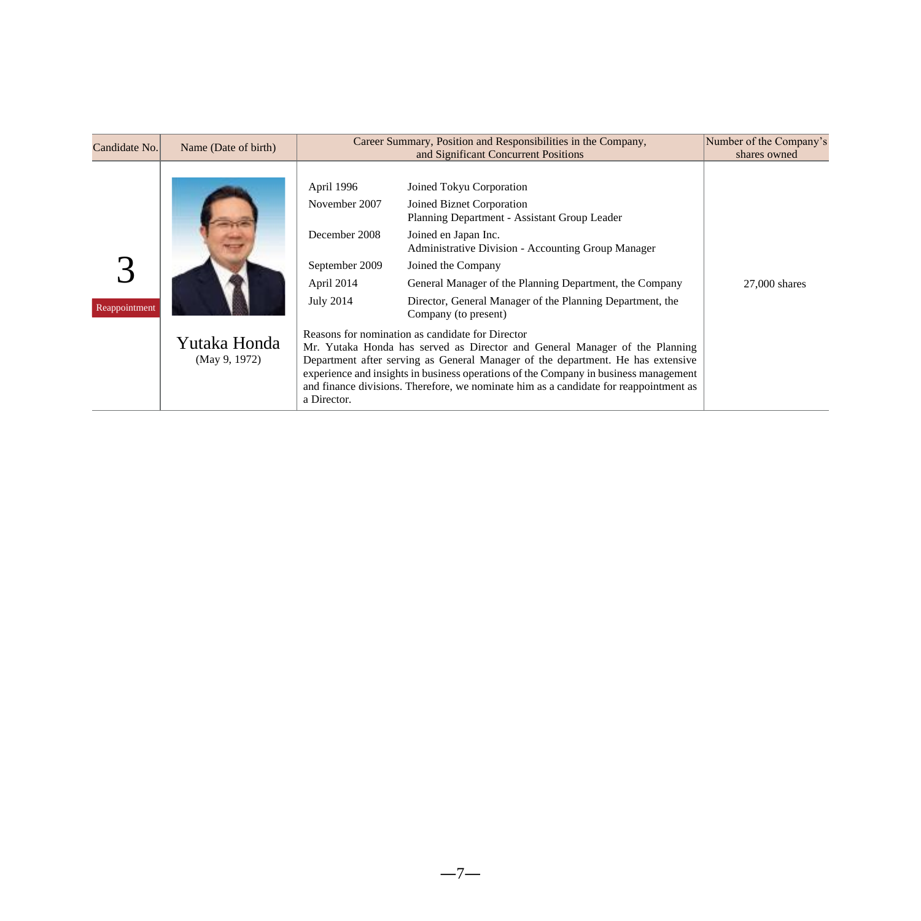| Candidate No. | Name (Date of birth)          |                                                                                                                 | Number of the Company's<br>Career Summary, Position and Responsibilities in the Company,<br>and Significant Concurrent Positions                                                                                                                                                                                                                                                                                                                                                                                                                                                                                                                                                                                                                                        |                 |  |  |  |
|---------------|-------------------------------|-----------------------------------------------------------------------------------------------------------------|-------------------------------------------------------------------------------------------------------------------------------------------------------------------------------------------------------------------------------------------------------------------------------------------------------------------------------------------------------------------------------------------------------------------------------------------------------------------------------------------------------------------------------------------------------------------------------------------------------------------------------------------------------------------------------------------------------------------------------------------------------------------------|-----------------|--|--|--|
| Reappointment | Yutaka Honda<br>(May 9, 1972) | April 1996<br>November 2007<br>December 2008<br>September 2009<br>April 2014<br><b>July 2014</b><br>a Director. | Joined Tokyu Corporation<br>Joined Biznet Corporation<br>Planning Department - Assistant Group Leader<br>Joined en Japan Inc.<br><b>Administrative Division - Accounting Group Manager</b><br>Joined the Company<br>General Manager of the Planning Department, the Company<br>Director, General Manager of the Planning Department, the<br>Company (to present)<br>Reasons for nomination as candidate for Director<br>Mr. Yutaka Honda has served as Director and General Manager of the Planning<br>Department after serving as General Manager of the department. He has extensive<br>experience and insights in business operations of the Company in business management<br>and finance divisions. Therefore, we nominate him as a candidate for reappointment as | $27,000$ shares |  |  |  |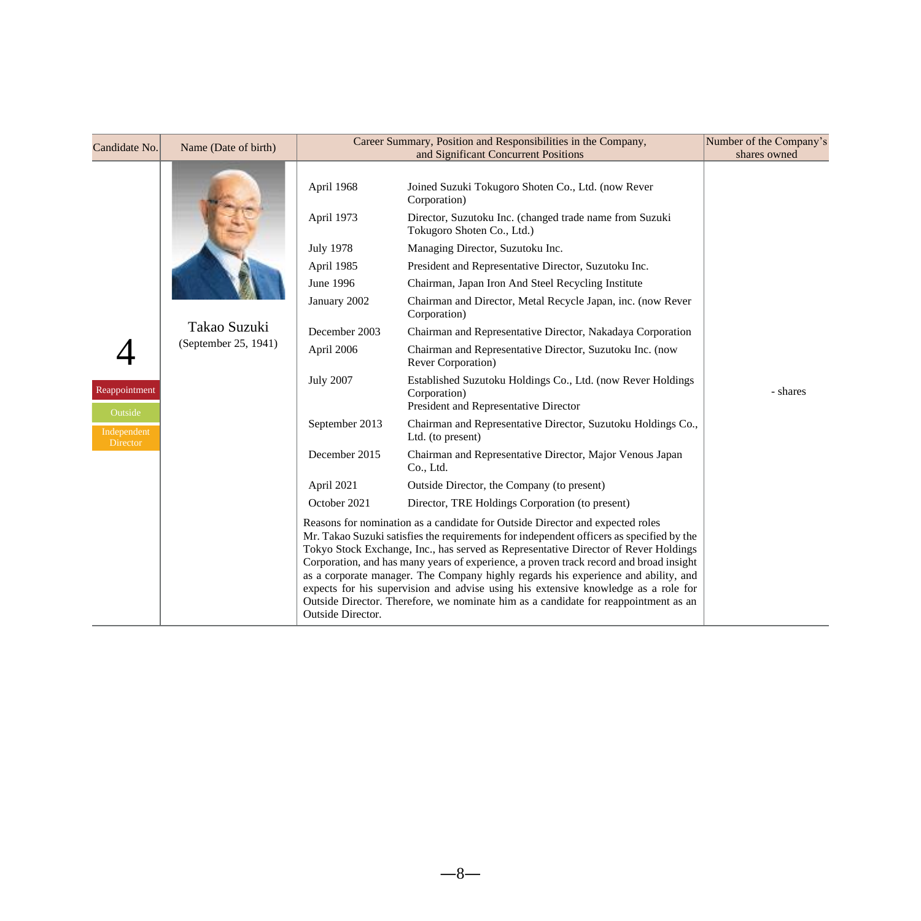| Candidate No.            | Name (Date of birth) |                   | Career Summary, Position and Responsibilities in the Company,                                                                                                                                                                                                                                                                                                                                                                                                                                                                                                                                                                 | Number of the Company's |
|--------------------------|----------------------|-------------------|-------------------------------------------------------------------------------------------------------------------------------------------------------------------------------------------------------------------------------------------------------------------------------------------------------------------------------------------------------------------------------------------------------------------------------------------------------------------------------------------------------------------------------------------------------------------------------------------------------------------------------|-------------------------|
|                          |                      |                   | and Significant Concurrent Positions                                                                                                                                                                                                                                                                                                                                                                                                                                                                                                                                                                                          | shares owned            |
|                          |                      | April 1968        | Joined Suzuki Tokugoro Shoten Co., Ltd. (now Rever<br>Corporation)                                                                                                                                                                                                                                                                                                                                                                                                                                                                                                                                                            |                         |
|                          |                      | April 1973        | Director, Suzutoku Inc. (changed trade name from Suzuki<br>Tokugoro Shoten Co., Ltd.)                                                                                                                                                                                                                                                                                                                                                                                                                                                                                                                                         |                         |
|                          |                      | <b>July 1978</b>  | Managing Director, Suzutoku Inc.                                                                                                                                                                                                                                                                                                                                                                                                                                                                                                                                                                                              |                         |
|                          |                      | April 1985        | President and Representative Director, Suzutoku Inc.                                                                                                                                                                                                                                                                                                                                                                                                                                                                                                                                                                          |                         |
|                          |                      | June 1996         | Chairman, Japan Iron And Steel Recycling Institute                                                                                                                                                                                                                                                                                                                                                                                                                                                                                                                                                                            |                         |
|                          |                      | January 2002      | Chairman and Director, Metal Recycle Japan, inc. (now Rever<br>Corporation)                                                                                                                                                                                                                                                                                                                                                                                                                                                                                                                                                   |                         |
|                          | Takao Suzuki         | December 2003     | Chairman and Representative Director, Nakadaya Corporation                                                                                                                                                                                                                                                                                                                                                                                                                                                                                                                                                                    |                         |
|                          | (September 25, 1941) | April 2006        | Chairman and Representative Director, Suzutoku Inc. (now<br>Rever Corporation)                                                                                                                                                                                                                                                                                                                                                                                                                                                                                                                                                |                         |
| Reappointment<br>Outside |                      | <b>July 2007</b>  | Established Suzutoku Holdings Co., Ltd. (now Rever Holdings<br>Corporation)<br>President and Representative Director                                                                                                                                                                                                                                                                                                                                                                                                                                                                                                          | - shares                |
| Independent<br>Director  |                      | September 2013    | Chairman and Representative Director, Suzutoku Holdings Co.,<br>Ltd. (to present)                                                                                                                                                                                                                                                                                                                                                                                                                                                                                                                                             |                         |
|                          |                      | December 2015     | Chairman and Representative Director, Major Venous Japan<br>Co., Ltd.                                                                                                                                                                                                                                                                                                                                                                                                                                                                                                                                                         |                         |
|                          |                      | April 2021        | Outside Director, the Company (to present)                                                                                                                                                                                                                                                                                                                                                                                                                                                                                                                                                                                    |                         |
|                          |                      | October 2021      | Director, TRE Holdings Corporation (to present)                                                                                                                                                                                                                                                                                                                                                                                                                                                                                                                                                                               |                         |
|                          |                      | Outside Director. | Reasons for nomination as a candidate for Outside Director and expected roles<br>Mr. Takao Suzuki satisfies the requirements for independent officers as specified by the<br>Tokyo Stock Exchange, Inc., has served as Representative Director of Rever Holdings<br>Corporation, and has many years of experience, a proven track record and broad insight<br>as a corporate manager. The Company highly regards his experience and ability, and<br>expects for his supervision and advise using his extensive knowledge as a role for<br>Outside Director. Therefore, we nominate him as a candidate for reappointment as an |                         |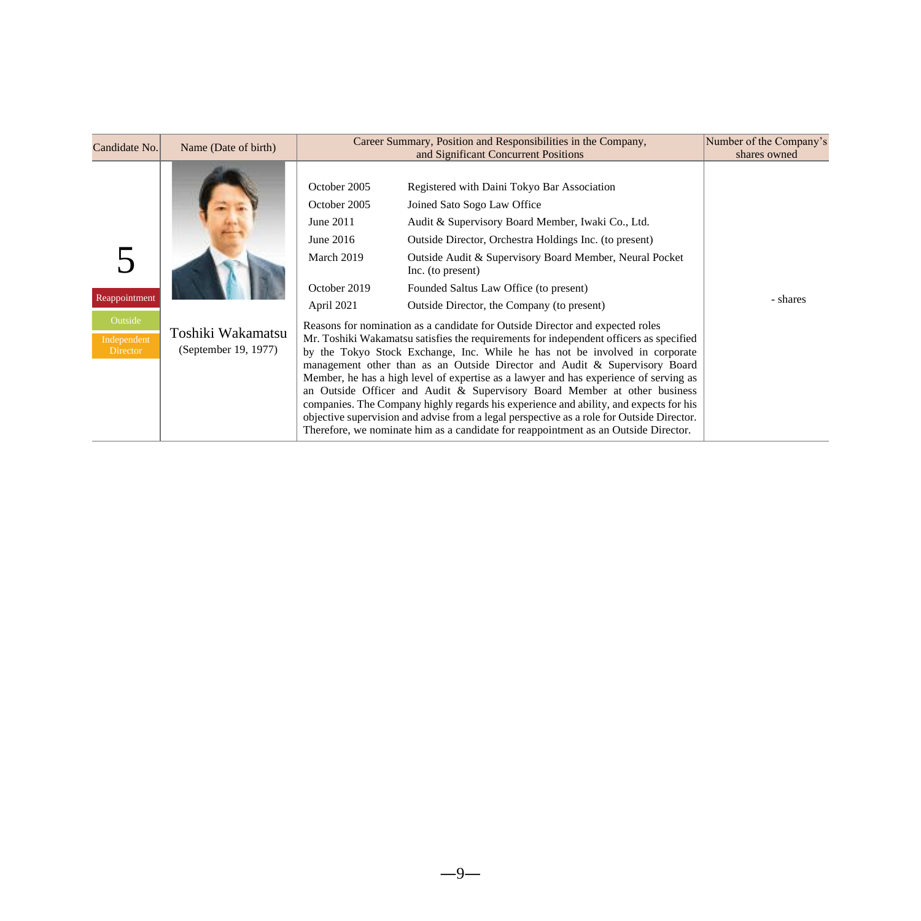| Candidate No.                                              | Name (Date of birth)                      |                                                                                                    | Career Summary, Position and Responsibilities in the Company,<br>and Significant Concurrent Positions                                                                                                                                                                                                                                                                                                                                                                                                                                                                                                                                                                                                                                                                                                                                                                                                                                                                                                                                                                                                                                                        | Number of the Company's<br>shares owned |
|------------------------------------------------------------|-------------------------------------------|----------------------------------------------------------------------------------------------------|--------------------------------------------------------------------------------------------------------------------------------------------------------------------------------------------------------------------------------------------------------------------------------------------------------------------------------------------------------------------------------------------------------------------------------------------------------------------------------------------------------------------------------------------------------------------------------------------------------------------------------------------------------------------------------------------------------------------------------------------------------------------------------------------------------------------------------------------------------------------------------------------------------------------------------------------------------------------------------------------------------------------------------------------------------------------------------------------------------------------------------------------------------------|-----------------------------------------|
| Reappointment<br>Outside<br>Independent<br><b>Director</b> | Toshiki Wakamatsu<br>(September 19, 1977) | October 2005<br>October 2005<br>June 2011<br>June 2016<br>March 2019<br>October 2019<br>April 2021 | Registered with Daini Tokyo Bar Association<br>Joined Sato Sogo Law Office<br>Audit & Supervisory Board Member, Iwaki Co., Ltd.<br>Outside Director, Orchestra Holdings Inc. (to present)<br>Outside Audit & Supervisory Board Member, Neural Pocket<br>Inc. (to present)<br>Founded Saltus Law Office (to present)<br>Outside Director, the Company (to present)<br>Reasons for nomination as a candidate for Outside Director and expected roles<br>Mr. Toshiki Wakamatsu satisfies the requirements for independent officers as specified<br>by the Tokyo Stock Exchange, Inc. While he has not be involved in corporate<br>management other than as an Outside Director and Audit & Supervisory Board<br>Member, he has a high level of expertise as a lawyer and has experience of serving as<br>an Outside Officer and Audit & Supervisory Board Member at other business<br>companies. The Company highly regards his experience and ability, and expects for his<br>objective supervision and advise from a legal perspective as a role for Outside Director.<br>Therefore, we nominate him as a candidate for reappointment as an Outside Director. | - shares                                |

 $-9-$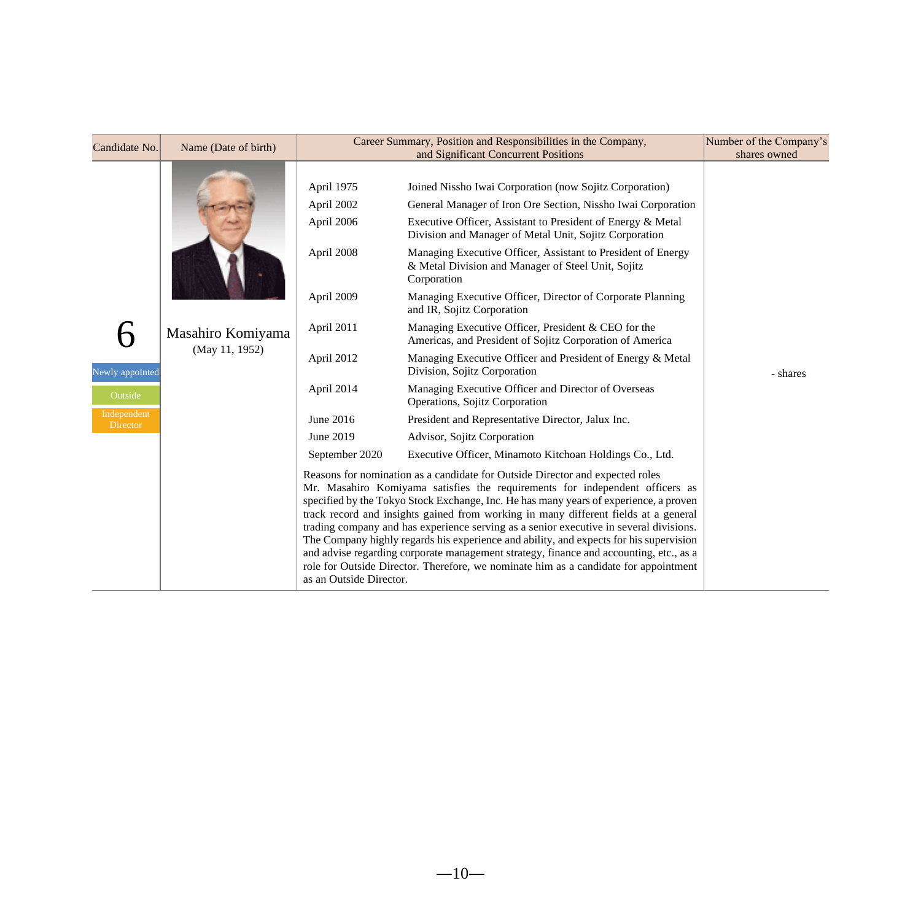| Candidate No.           | Name (Date of birth) |                                                                                                                                                                                                                                                                                                                                                                                                                                                                                                                                                                                                                                                                                                                                                | Career Summary, Position and Responsibilities in the Company,<br>and Significant Concurrent Positions                                                                                       | Number of the Company's<br>shares owned |
|-------------------------|----------------------|------------------------------------------------------------------------------------------------------------------------------------------------------------------------------------------------------------------------------------------------------------------------------------------------------------------------------------------------------------------------------------------------------------------------------------------------------------------------------------------------------------------------------------------------------------------------------------------------------------------------------------------------------------------------------------------------------------------------------------------------|---------------------------------------------------------------------------------------------------------------------------------------------------------------------------------------------|-----------------------------------------|
|                         | Masahiro Komiyama    | April 1975<br>April 2002<br>April 2006                                                                                                                                                                                                                                                                                                                                                                                                                                                                                                                                                                                                                                                                                                         | Joined Nissho Iwai Corporation (now Sojitz Corporation)<br>General Manager of Iron Ore Section, Nissho Iwai Corporation<br>Executive Officer, Assistant to President of Energy & Metal      |                                         |
|                         |                      | April 2008                                                                                                                                                                                                                                                                                                                                                                                                                                                                                                                                                                                                                                                                                                                                     | Division and Manager of Metal Unit, Sojitz Corporation<br>Managing Executive Officer, Assistant to President of Energy<br>& Metal Division and Manager of Steel Unit, Sojitz<br>Corporation |                                         |
|                         |                      | April 2009                                                                                                                                                                                                                                                                                                                                                                                                                                                                                                                                                                                                                                                                                                                                     | Managing Executive Officer, Director of Corporate Planning<br>and IR, Sojitz Corporation                                                                                                    |                                         |
|                         |                      | April 2011                                                                                                                                                                                                                                                                                                                                                                                                                                                                                                                                                                                                                                                                                                                                     | Managing Executive Officer, President & CEO for the<br>Americas, and President of Sojitz Corporation of America                                                                             |                                         |
| Newly appointed         | (May 11, 1952)       | April 2012                                                                                                                                                                                                                                                                                                                                                                                                                                                                                                                                                                                                                                                                                                                                     | Managing Executive Officer and President of Energy & Metal<br>Division, Sojitz Corporation                                                                                                  | - shares                                |
| Outside                 |                      | April 2014                                                                                                                                                                                                                                                                                                                                                                                                                                                                                                                                                                                                                                                                                                                                     | Managing Executive Officer and Director of Overseas<br>Operations, Sojitz Corporation                                                                                                       |                                         |
| Independent<br>Director |                      | June 2016                                                                                                                                                                                                                                                                                                                                                                                                                                                                                                                                                                                                                                                                                                                                      | President and Representative Director, Jalux Inc.                                                                                                                                           |                                         |
|                         |                      | June 2019                                                                                                                                                                                                                                                                                                                                                                                                                                                                                                                                                                                                                                                                                                                                      | Advisor, Sojitz Corporation                                                                                                                                                                 |                                         |
|                         |                      | September 2020                                                                                                                                                                                                                                                                                                                                                                                                                                                                                                                                                                                                                                                                                                                                 | Executive Officer, Minamoto Kitchoan Holdings Co., Ltd.                                                                                                                                     |                                         |
|                         |                      | Reasons for nomination as a candidate for Outside Director and expected roles<br>Mr. Masahiro Komiyama satisfies the requirements for independent officers as<br>specified by the Tokyo Stock Exchange, Inc. He has many years of experience, a proven<br>track record and insights gained from working in many different fields at a general<br>trading company and has experience serving as a senior executive in several divisions.<br>The Company highly regards his experience and ability, and expects for his supervision<br>and advise regarding corporate management strategy, finance and accounting, etc., as a<br>role for Outside Director. Therefore, we nominate him as a candidate for appointment<br>as an Outside Director. |                                                                                                                                                                                             |                                         |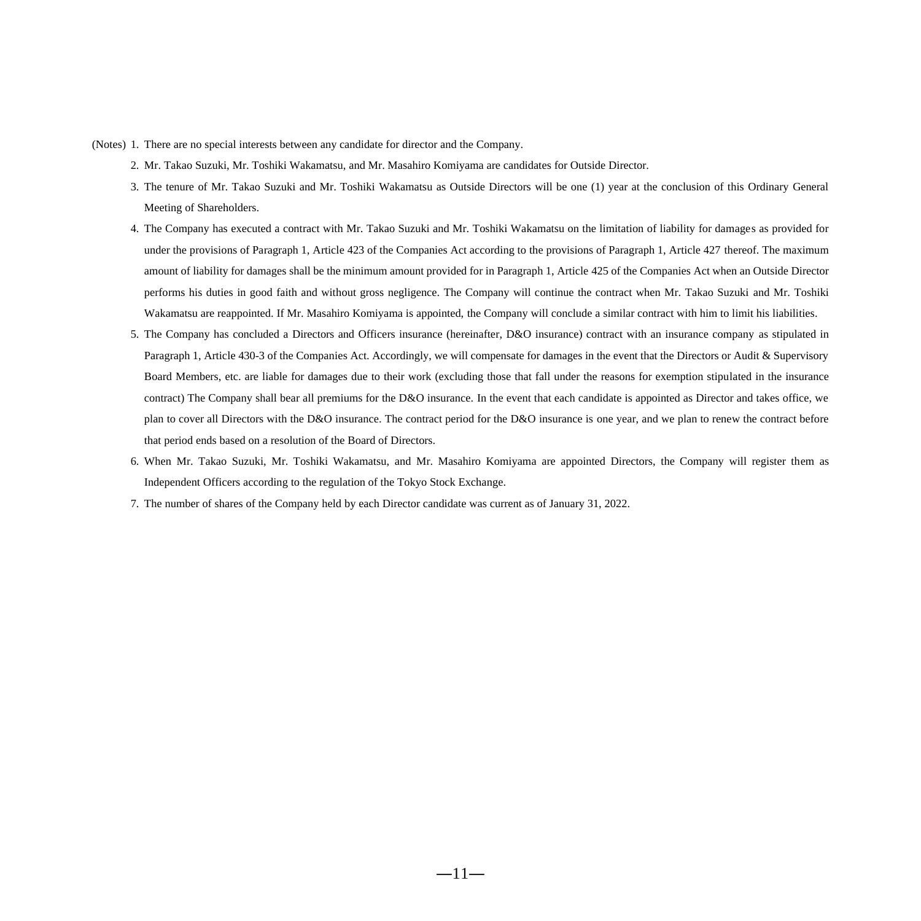- (Notes) 1. There are no special interests between any candidate for director and the Company.
	- 2. Mr. Takao Suzuki, Mr. Toshiki Wakamatsu, and Mr. Masahiro Komiyama are candidates for Outside Director.
	- 3. The tenure of Mr. Takao Suzuki and Mr. Toshiki Wakamatsu as Outside Directors will be one (1) year at the conclusion of this Ordinary General Meeting of Shareholders.
	- 4. The Company has executed a contract with Mr. Takao Suzuki and Mr. Toshiki Wakamatsu on the limitation of liability for damages as provided for under the provisions of Paragraph 1, Article 423 of the Companies Act according to the provisions of Paragraph 1, Article 427 thereof. The maximum amount of liability for damages shall be the minimum amount provided for in Paragraph 1, Article 425 of the Companies Act when an Outside Director performs his duties in good faith and without gross negligence. The Company will continue the contract when Mr. Takao Suzuki and Mr. Toshiki Wakamatsu are reappointed. If Mr. Masahiro Komiyama is appointed, the Company will conclude a similar contract with him to limit his liabilities.
	- 5. The Company has concluded a Directors and Officers insurance (hereinafter, D&O insurance) contract with an insurance company as stipulated in Paragraph 1, Article 430-3 of the Companies Act. Accordingly, we will compensate for damages in the event that the Directors or Audit & Supervisory Board Members, etc. are liable for damages due to their work (excluding those that fall under the reasons for exemption stipulated in the insurance contract) The Company shall bear all premiums for the D&O insurance. In the event that each candidate is appointed as Director and takes office, we plan to cover all Directors with the D&O insurance. The contract period for the D&O insurance is one year, and we plan to renew the contract before that period ends based on a resolution of the Board of Directors.
	- 6. When Mr. Takao Suzuki, Mr. Toshiki Wakamatsu, and Mr. Masahiro Komiyama are appointed Directors, the Company will register them as Independent Officers according to the regulation of the Tokyo Stock Exchange.
	- 7. The number of shares of the Company held by each Director candidate was current as of January 31, 2022.